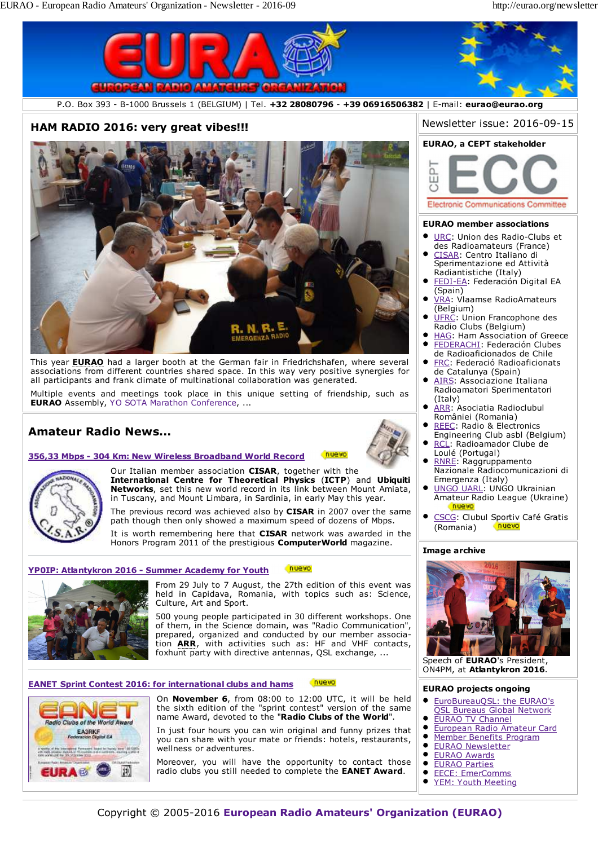

# **Amateur Radio News...**





nuevo

The previous record was achieved also by **CISAR** in 2007 over the same path though then only showed a maximum speed of dozens of Mbps.

It is worth remembering here that **CISAR** network was awarded in the Honors Program 2011 of the prestigious **ComputerWorld** magazine.

#### nuevo **YP0IP: Atlantykron 2016 - Summer Academy for Youth**



From 29 July to 7 August, the 27th edition of this event was held in Capidava, Romania, with topics such as: Science, Culture, Art and Sport.

500 young people participated in 30 different workshops. One of them, in the Science domain, was "Radio Communication", prepared, organized and conducted by our member association **ARR**, with activities such as: HF and VHF contacts, foxhunt party with directive antennas, QSL exchange, ...

### **EANET Sprint Contest 2016: for international clubs and hams**



On **November 6**, from 08:00 to 12:00 UTC, it will be held the sixth edition of the "sprint contest" version of the same name Award, devoted to the "**Radio Clubs of the World**".

nuevo

In just four hours you can win original and funny prizes that you can share with your mate or friends: hotels, restaurants, wellness or adventures.

Moreover, you will have the opportunity to contact those radio clubs you still needed to complete the **EANET Award**.

- ARR: Asociatia Radioclubul  $\bullet$ României (Romania)
- REEC: Radio & Electronics Engineering Club asbl (Belgium)
- RCL: Radioamador Clube de Loulé (Portugal)
- RNRE: Raggruppamento Nazionale Radiocomunicazioni di Emergenza (Italy)
- UNGO UARL: UNGO Ukrainian Amateur Radio League (Ukraine)
- CSCG: Clubul Sportiv Café Gratis (Romania) nuevo

### **Image archive**



Speech of **EURAO**'s President, ON4PM, at **Atlantykron 2016**.

#### **EURAO projects ongoing**

- EuroBureauQSL: the EURAO's QSL Bureaus Global Network
- $\bullet$ EURAO TV Channel
- European Radio Amateur Card
- Member Benefits Program  $\bullet$
- EURAO Newsletter  $\bullet$ EURAO Awards
- $\bullet$ EURAO Parties
- $\bullet$ EECE: EmerComms
	- YEM: Youth Meeting